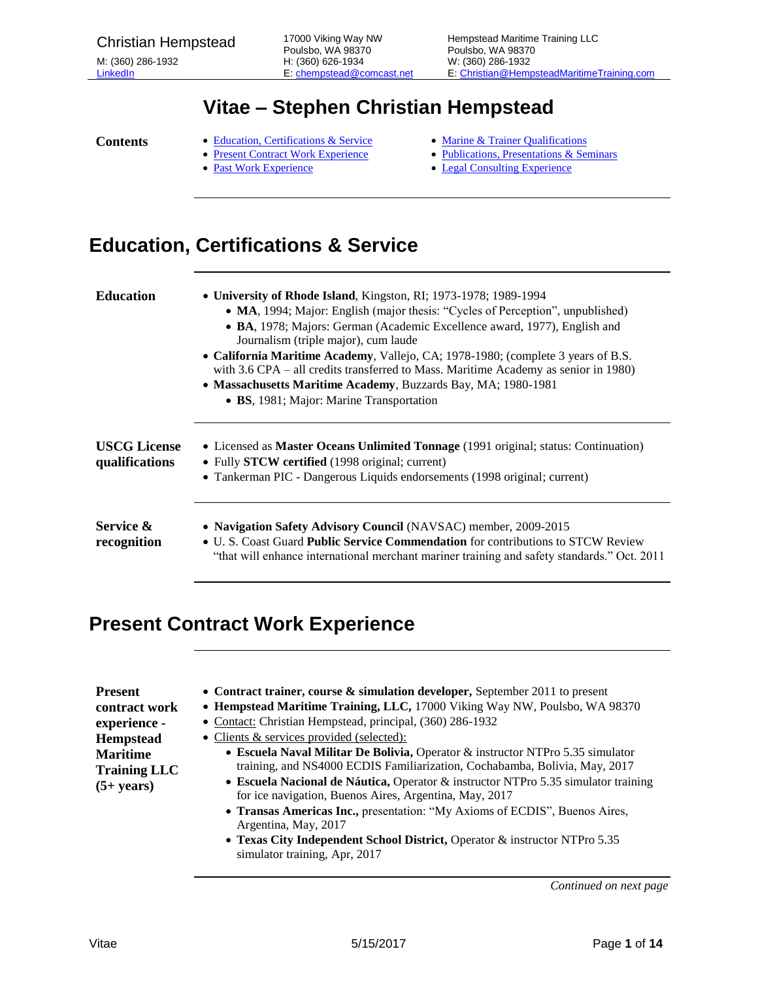## **Vitae – Stephen Christian Hempstead**

- **Contents** . [Education, Certifications & Service](#page-0-0)
	- [Present Contract Work Experience](#page-0-1)
	- [Past Work Experience](#page-4-0)
- [Marine & Trainer Qualifications](#page-6-0)
- [Publications, Presentations & Seminars](#page-7-0)
- [Legal Consulting Experience](#page-11-0)

# <span id="page-0-0"></span>**Education, Certifications & Service**

| <b>Education</b>                      | • University of Rhode Island, Kingston, RI; 1973-1978; 1989-1994<br>• MA, 1994; Major: English (major thesis: "Cycles of Perception", unpublished)<br>• BA, 1978; Majors: German (Academic Excellence award, 1977), English and<br>Journalism (triple major), cum laude<br>• California Maritime Academy, Vallejo, CA; 1978-1980; (complete 3 years of B.S.<br>with 3.6 CPA – all credits transferred to Mass. Maritime Academy as senior in 1980)<br>• Massachusetts Maritime Academy, Buzzards Bay, MA; 1980-1981<br>• BS, 1981; Major: Marine Transportation |
|---------------------------------------|-----------------------------------------------------------------------------------------------------------------------------------------------------------------------------------------------------------------------------------------------------------------------------------------------------------------------------------------------------------------------------------------------------------------------------------------------------------------------------------------------------------------------------------------------------------------|
| <b>USCG License</b><br>qualifications | • Licensed as <b>Master Oceans Unlimited Tonnage</b> (1991 original; status: Continuation)<br>• Fully STCW certified (1998 original; current)<br>• Tankerman PIC - Dangerous Liquids endorsements (1998 original; current)                                                                                                                                                                                                                                                                                                                                      |
| Service &<br>recognition              | • Navigation Safety Advisory Council (NAVSAC) member, 2009-2015<br>• U. S. Coast Guard Public Service Commendation for contributions to STCW Review<br>"that will enhance international merchant mariner training and safety standards." Oct. 2011                                                                                                                                                                                                                                                                                                              |

#### <span id="page-0-1"></span>**Present Contract Work Experience**

| • Contract trainer, course $\&$ simulation developer, September 2011 to present    |
|------------------------------------------------------------------------------------|
| • Hempstead Maritime Training, LLC, 17000 Viking Way NW, Poulsbo, WA 98370         |
| • Contact: Christian Hempstead, principal, (360) 286-1932                          |
| • Clients & services provided (selected):                                          |
| • Escuela Naval Militar De Bolivia, Operator & instructor NTPro 5.35 simulator     |
| training, and NS4000 ECDIS Familiarization, Cochabamba, Bolivia, May, 2017         |
| • Escuela Nacional de Náutica, Operator & instructor NTPro 5.35 simulator training |
| for ice navigation, Buenos Aires, Argentina, May, 2017                             |
| • Transas Americas Inc., presentation: "My Axioms of ECDIS", Buenos Aires,         |
| Argentina, May, 2017                                                               |
| • Texas City Independent School District, Operator & instructor NTPro 5.35         |
|                                                                                    |

simulator training, Apr, 2017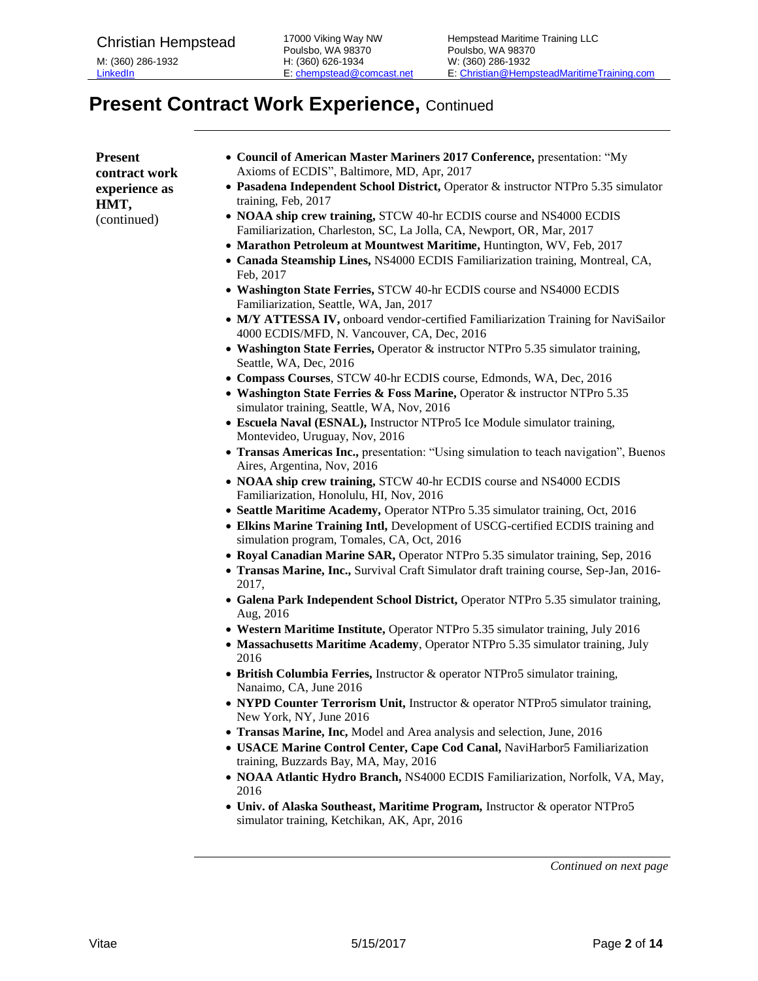# **Present Contract Work Experience, Continued**

| <b>Present</b><br>contract work<br>experience as<br>HMT, | • Council of American Master Mariners 2017 Conference, presentation: "My<br>Axioms of ECDIS", Baltimore, MD, Apr, 2017<br>• Pasadena Independent School District, Operator & instructor NTPro 5.35 simulator<br>training, Feb, 2017 |
|----------------------------------------------------------|-------------------------------------------------------------------------------------------------------------------------------------------------------------------------------------------------------------------------------------|
| (continued)                                              | • NOAA ship crew training, STCW 40-hr ECDIS course and NS4000 ECDIS<br>Familiarization, Charleston, SC, La Jolla, CA, Newport, OR, Mar, 2017                                                                                        |
|                                                          | • Marathon Petroleum at Mountwest Maritime, Huntington, WV, Feb, 2017                                                                                                                                                               |
|                                                          | • Canada Steamship Lines, NS4000 ECDIS Familiarization training, Montreal, CA,<br>Feb, 2017                                                                                                                                         |
|                                                          | • Washington State Ferries, STCW 40-hr ECDIS course and NS4000 ECDIS<br>Familiarization, Seattle, WA, Jan, 2017                                                                                                                     |
|                                                          | • M/Y ATTESSA IV, onboard vendor-certified Familiarization Training for NaviSailor<br>4000 ECDIS/MFD, N. Vancouver, CA, Dec, 2016                                                                                                   |
|                                                          | • Washington State Ferries, Operator & instructor NTPro 5.35 simulator training,<br>Seattle, WA, Dec, 2016                                                                                                                          |
|                                                          | • Compass Courses, STCW 40-hr ECDIS course, Edmonds, WA, Dec, 2016<br>• Washington State Ferries & Foss Marine, Operator & instructor NTPro 5.35                                                                                    |
|                                                          | simulator training, Seattle, WA, Nov, 2016                                                                                                                                                                                          |
|                                                          | • Escuela Naval (ESNAL), Instructor NTPro5 Ice Module simulator training,<br>Montevideo, Uruguay, Nov, 2016                                                                                                                         |
|                                                          | • Transas Americas Inc., presentation: "Using simulation to teach navigation", Buenos<br>Aires, Argentina, Nov, 2016                                                                                                                |
|                                                          | • NOAA ship crew training, STCW 40-hr ECDIS course and NS4000 ECDIS<br>Familiarization, Honolulu, HI, Nov, 2016                                                                                                                     |
|                                                          | • Seattle Maritime Academy, Operator NTPro 5.35 simulator training, Oct, 2016                                                                                                                                                       |
|                                                          | • Elkins Marine Training Intl, Development of USCG-certified ECDIS training and<br>simulation program, Tomales, CA, Oct, 2016                                                                                                       |
|                                                          | • Royal Canadian Marine SAR, Operator NTPro 5.35 simulator training, Sep, 2016                                                                                                                                                      |
|                                                          | • Transas Marine, Inc., Survival Craft Simulator draft training course, Sep-Jan, 2016-<br>2017,                                                                                                                                     |
|                                                          | • Galena Park Independent School District, Operator NTPro 5.35 simulator training,<br>Aug, 2016                                                                                                                                     |
|                                                          | • Western Maritime Institute, Operator NTPro 5.35 simulator training, July 2016                                                                                                                                                     |
|                                                          | • Massachusetts Maritime Academy, Operator NTPro 5.35 simulator training, July<br>2016                                                                                                                                              |
|                                                          | • British Columbia Ferries, Instructor & operator NTPro5 simulator training,<br>Nanaimo, CA, June 2016                                                                                                                              |
|                                                          | NYPD Counter Terrorism Unit, Instructor & operator NTPro5 simulator training,<br>New York, NY, June 2016                                                                                                                            |
|                                                          | • Transas Marine, Inc, Model and Area analysis and selection, June, 2016<br>• USACE Marine Control Center, Cape Cod Canal, NaviHarbor5 Familiarization                                                                              |
|                                                          | training, Buzzards Bay, MA, May, 2016                                                                                                                                                                                               |
|                                                          | • NOAA Atlantic Hydro Branch, NS4000 ECDIS Familiarization, Norfolk, VA, May,<br>2016                                                                                                                                               |
|                                                          | • Univ. of Alaska Southeast, Maritime Program, Instructor & operator NTPro5<br>simulator training, Ketchikan, AK, Apr, 2016                                                                                                         |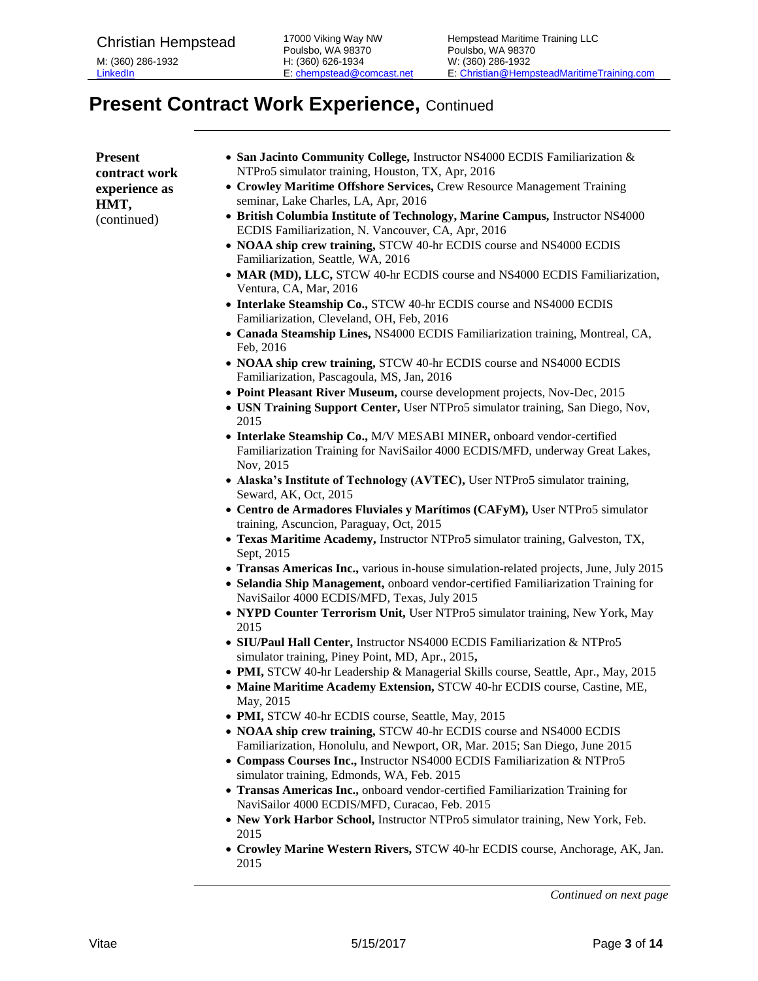# **Present Contract Work Experience,** Continued

| <b>Present</b> | • San Jacinto Community College, Instructor NS4000 ECDIS Familiarization &                                                       |
|----------------|----------------------------------------------------------------------------------------------------------------------------------|
| contract work  | NTPro5 simulator training, Houston, TX, Apr, 2016                                                                                |
| experience as  | • Crowley Maritime Offshore Services, Crew Resource Management Training                                                          |
| HMT,           | seminar, Lake Charles, LA, Apr, 2016                                                                                             |
| (continued)    | • British Columbia Institute of Technology, Marine Campus, Instructor NS4000                                                     |
|                | ECDIS Familiarization, N. Vancouver, CA, Apr, 2016                                                                               |
|                | • NOAA ship crew training, STCW 40-hr ECDIS course and NS4000 ECDIS<br>Familiarization, Seattle, WA, 2016                        |
|                | • MAR (MD), LLC, STCW 40-hr ECDIS course and NS4000 ECDIS Familiarization,<br>Ventura, CA, Mar, 2016                             |
|                | • Interlake Steamship Co., STCW 40-hr ECDIS course and NS4000 ECDIS<br>Familiarization, Cleveland, OH, Feb, 2016                 |
|                | • Canada Steamship Lines, NS4000 ECDIS Familiarization training, Montreal, CA,<br>Feb, 2016                                      |
|                | • NOAA ship crew training, STCW 40-hr ECDIS course and NS4000 ECDIS<br>Familiarization, Pascagoula, MS, Jan, 2016                |
|                | • Point Pleasant River Museum, course development projects, Nov-Dec, 2015                                                        |
|                | • USN Training Support Center, User NTPro5 simulator training, San Diego, Nov,<br>2015                                           |
|                | • Interlake Steamship Co., M/V MESABI MINER, onboard vendor-certified                                                            |
|                | Familiarization Training for NaviSailor 4000 ECDIS/MFD, underway Great Lakes,<br>Nov, 2015                                       |
|                | • Alaska's Institute of Technology (AVTEC), User NTPro5 simulator training,<br>Seward, AK, Oct, 2015                             |
|                | • Centro de Armadores Fluviales y Marítimos (CAFyM), User NTPro5 simulator<br>training, Ascuncion, Paraguay, Oct, 2015           |
|                | • Texas Maritime Academy, Instructor NTPro5 simulator training, Galveston, TX,<br>Sept, 2015                                     |
|                | • Transas Americas Inc., various in-house simulation-related projects, June, July 2015                                           |
|                | • Selandia Ship Management, onboard vendor-certified Familiarization Training for<br>NaviSailor 4000 ECDIS/MFD, Texas, July 2015 |
|                | • NYPD Counter Terrorism Unit, User NTPro5 simulator training, New York, May<br>2015                                             |
|                | • SIU/Paul Hall Center, Instructor NS4000 ECDIS Familiarization & NTPro5<br>simulator training, Piney Point, MD, Apr., 2015,     |
|                | • PMI, STCW 40-hr Leadership & Managerial Skills course, Seattle, Apr., May, 2015                                                |
|                | • Maine Maritime Academy Extension, STCW 40-hr ECDIS course, Castine, ME,<br>May, 2015                                           |
|                | • PMI, STCW 40-hr ECDIS course, Seattle, May, 2015                                                                               |
|                | • NOAA ship crew training, STCW 40-hr ECDIS course and NS4000 ECDIS                                                              |
|                | Familiarization, Honolulu, and Newport, OR, Mar. 2015; San Diego, June 2015                                                      |
|                | • Compass Courses Inc., Instructor NS4000 ECDIS Familiarization & NTPro5<br>simulator training, Edmonds, WA, Feb. 2015           |
|                | • Transas Americas Inc., onboard vendor-certified Familiarization Training for                                                   |
|                | NaviSailor 4000 ECDIS/MFD, Curacao, Feb. 2015                                                                                    |
|                | • New York Harbor School, Instructor NTPro5 simulator training, New York, Feb.<br>2015                                           |
|                | • Crowley Marine Western Rivers, STCW 40-hr ECDIS course, Anchorage, AK, Jan.                                                    |

*Continued on next page*

2015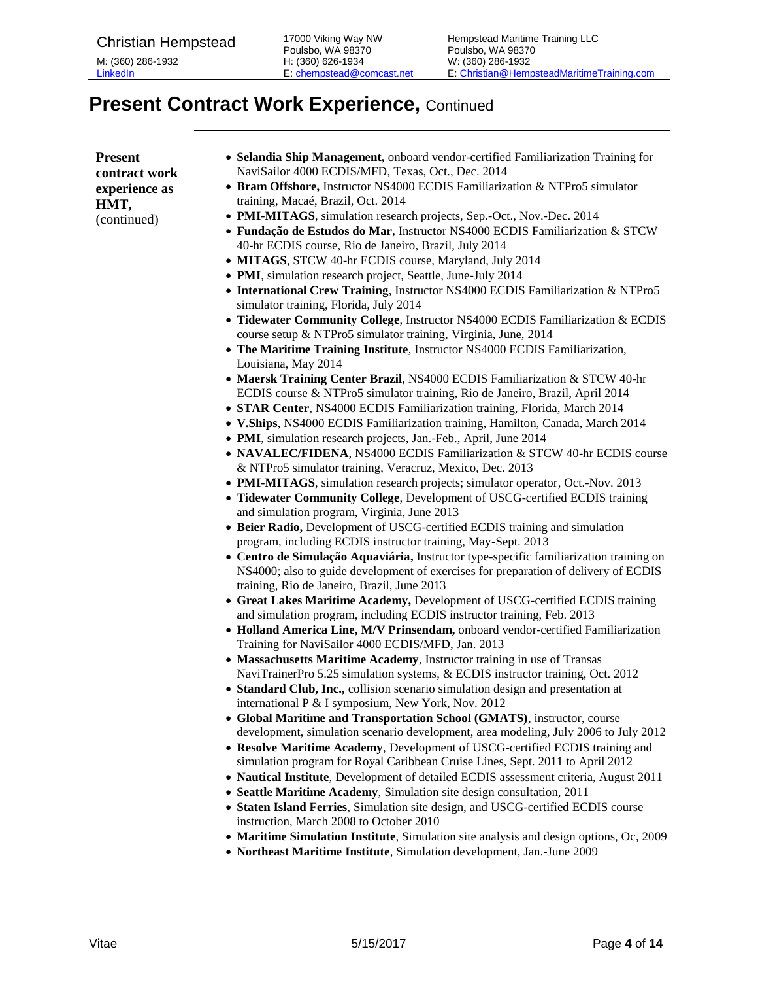# **Present Contract Work Experience, Continued**

| <b>Present</b> | • Selandia Ship Management, onboard vendor-certified Familiarization Training for                                                                      |
|----------------|--------------------------------------------------------------------------------------------------------------------------------------------------------|
| contract work  | NaviSailor 4000 ECDIS/MFD, Texas, Oct., Dec. 2014                                                                                                      |
| experience as  | • Bram Offshore, Instructor NS4000 ECDIS Familiarization & NTPro5 simulator<br>training, Macaé, Brazil, Oct. 2014                                      |
| HMT,           |                                                                                                                                                        |
| (continued)    | · PMI-MITAGS, simulation research projects, Sep.-Oct., Nov.-Dec. 2014                                                                                  |
|                | · Fundação de Estudos do Mar, Instructor NS4000 ECDIS Familiarization & STCW                                                                           |
|                | 40-hr ECDIS course, Rio de Janeiro, Brazil, July 2014                                                                                                  |
|                | • MITAGS, STCW 40-hr ECDIS course, Maryland, July 2014                                                                                                 |
|                | • PMI, simulation research project, Seattle, June-July 2014                                                                                            |
|                | • International Crew Training, Instructor NS4000 ECDIS Familiarization & NTPro5<br>simulator training, Florida, July 2014                              |
|                | • Tidewater Community College, Instructor NS4000 ECDIS Familiarization & ECDIS                                                                         |
|                | course setup & NTPro5 simulator training, Virginia, June, 2014                                                                                         |
|                | • The Maritime Training Institute, Instructor NS4000 ECDIS Familiarization,                                                                            |
|                | Louisiana, May 2014                                                                                                                                    |
|                | • Maersk Training Center Brazil, NS4000 ECDIS Familiarization & STCW 40-hr                                                                             |
|                | ECDIS course & NTPro5 simulator training, Rio de Janeiro, Brazil, April 2014                                                                           |
|                | • STAR Center, NS4000 ECDIS Familiarization training, Florida, March 2014                                                                              |
|                | • V.Ships, NS4000 ECDIS Familiarization training, Hamilton, Canada, March 2014                                                                         |
|                | • PMI, simulation research projects, Jan.-Feb., April, June 2014                                                                                       |
|                | • NAVALEC/FIDENA, NS4000 ECDIS Familiarization & STCW 40-hr ECDIS course                                                                               |
|                | & NTPro5 simulator training, Veracruz, Mexico, Dec. 2013                                                                                               |
|                | • PMI-MITAGS, simulation research projects; simulator operator, Oct.-Nov. 2013                                                                         |
|                | • Tidewater Community College, Development of USCG-certified ECDIS training                                                                            |
|                | and simulation program, Virginia, June 2013                                                                                                            |
|                | • Beier Radio, Development of USCG-certified ECDIS training and simulation                                                                             |
|                | program, including ECDIS instructor training, May-Sept. 2013                                                                                           |
|                | • Centro de Simulação Aquaviária, Instructor type-specific familiarization training on                                                                 |
|                | NS4000; also to guide development of exercises for preparation of delivery of ECDIS                                                                    |
|                | training, Rio de Janeiro, Brazil, June 2013                                                                                                            |
|                | • Great Lakes Maritime Academy, Development of USCG-certified ECDIS training<br>and simulation program, including ECDIS instructor training, Feb. 2013 |
|                | • Holland America Line, M/V Prinsendam, onboard vendor-certified Familiarization                                                                       |
|                | Training for NaviSailor 4000 ECDIS/MFD, Jan. 2013                                                                                                      |
|                | • Massachusetts Maritime Academy, Instructor training in use of Transas                                                                                |
|                | NaviTrainerPro 5.25 simulation systems, & ECDIS instructor training, Oct. 2012                                                                         |
|                | • Standard Club, Inc., collision scenario simulation design and presentation at                                                                        |
|                | international P & I symposium, New York, Nov. 2012                                                                                                     |
|                | • Global Maritime and Transportation School (GMATS), instructor, course                                                                                |
|                | development, simulation scenario development, area modeling, July 2006 to July 2012                                                                    |
|                | • Resolve Maritime Academy, Development of USCG-certified ECDIS training and                                                                           |
|                | simulation program for Royal Caribbean Cruise Lines, Sept. 2011 to April 2012                                                                          |
|                | • Nautical Institute, Development of detailed ECDIS assessment criteria, August 2011                                                                   |
|                | • Seattle Maritime Academy, Simulation site design consultation, 2011                                                                                  |
|                | • Staten Island Ferries, Simulation site design, and USCG-certified ECDIS course<br>instruction, March 2008 to October 2010                            |
|                | • Maritime Simulation Institute, Simulation site analysis and design options, Oc, 2009                                                                 |
|                | • Northeast Maritime Institute, Simulation development, Jan.-June 2009                                                                                 |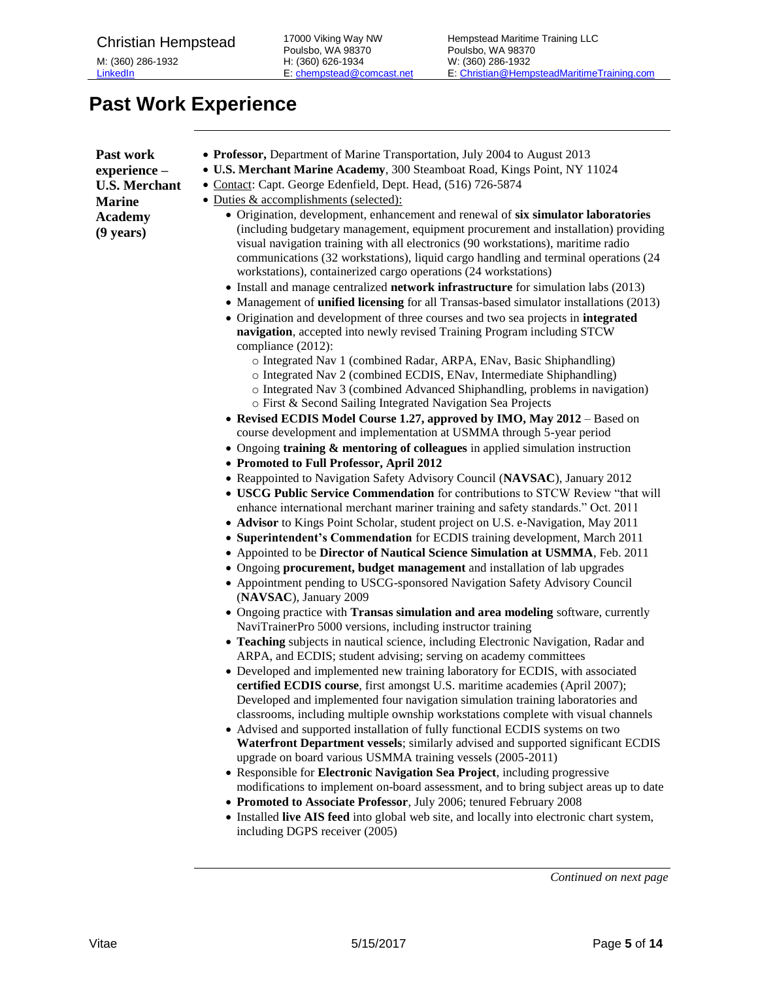## <span id="page-4-0"></span>**Past Work Experience**

| • Professor, Department of Marine Transportation, July 2004 to August 2013 |
|----------------------------------------------------------------------------|
|----------------------------------------------------------------------------|

- **U.S. Merchant Marine Academy**, 300 Steamboat Road, Kings Point, NY 11024
- Contact: Capt. George Edenfield, Dept. Head, (516) 726-5874
- Duties & accomplishments (selected):
	- Origination, development, enhancement and renewal of **six simulator laboratories** (including budgetary management, equipment procurement and installation) providing visual navigation training with all electronics (90 workstations), maritime radio communications (32 workstations), liquid cargo handling and terminal operations (24 workstations), containerized cargo operations (24 workstations)
	- Install and manage centralized **network infrastructure** for simulation labs (2013)
	- Management of **unified licensing** for all Transas-based simulator installations (2013)
	- Origination and development of three courses and two sea projects in **integrated navigation**, accepted into newly revised Training Program including STCW compliance (2012):
		- o Integrated Nav 1 (combined Radar, ARPA, ENav, Basic Shiphandling)
		- o Integrated Nav 2 (combined ECDIS, ENav, Intermediate Shiphandling)
		- o Integrated Nav 3 (combined Advanced Shiphandling, problems in navigation)
		- o First & Second Sailing Integrated Navigation Sea Projects
	- **Revised ECDIS Model Course 1.27, approved by IMO, May 2012** Based on course development and implementation at USMMA through 5-year period
	- Ongoing **training & mentoring of colleagues** in applied simulation instruction
	- **Promoted to Full Professor, April 2012**
	- Reappointed to Navigation Safety Advisory Council (**NAVSAC**), January 2012
	- **USCG Public Service Commendation** for contributions to STCW Review "that will enhance international merchant mariner training and safety standards." Oct. 2011
	- **Advisor** to Kings Point Scholar, student project on U.S. e-Navigation, May 2011
	- **Superintendent's Commendation** for ECDIS training development, March 2011
	- Appointed to be **Director of Nautical Science Simulation at USMMA**, Feb. 2011
	- Ongoing **procurement, budget management** and installation of lab upgrades
	- Appointment pending to USCG-sponsored Navigation Safety Advisory Council (**NAVSAC**), January 2009
	- Ongoing practice with **Transas simulation and area modeling** software, currently NaviTrainerPro 5000 versions, including instructor training
	- **Teaching** subjects in nautical science, including Electronic Navigation, Radar and ARPA, and ECDIS; student advising; serving on academy committees
	- Developed and implemented new training laboratory for ECDIS, with associated **certified ECDIS course**, first amongst U.S. maritime academies (April 2007); Developed and implemented four navigation simulation training laboratories and classrooms, including multiple ownship workstations complete with visual channels
	- Advised and supported installation of fully functional ECDIS systems on two **Waterfront Department vessels**; similarly advised and supported significant ECDIS upgrade on board various USMMA training vessels (2005-2011)
	- Responsible for **Electronic Navigation Sea Project**, including progressive modifications to implement on-board assessment, and to bring subject areas up to date
	- **Promoted to Associate Professor**, July 2006; tenured February 2008
	- Installed **live AIS feed** into global web site, and locally into electronic chart system, including DGPS receiver (2005)

*Continued on next page*

**Past work experience – U.S. Merchant Marine Academy (9 years)**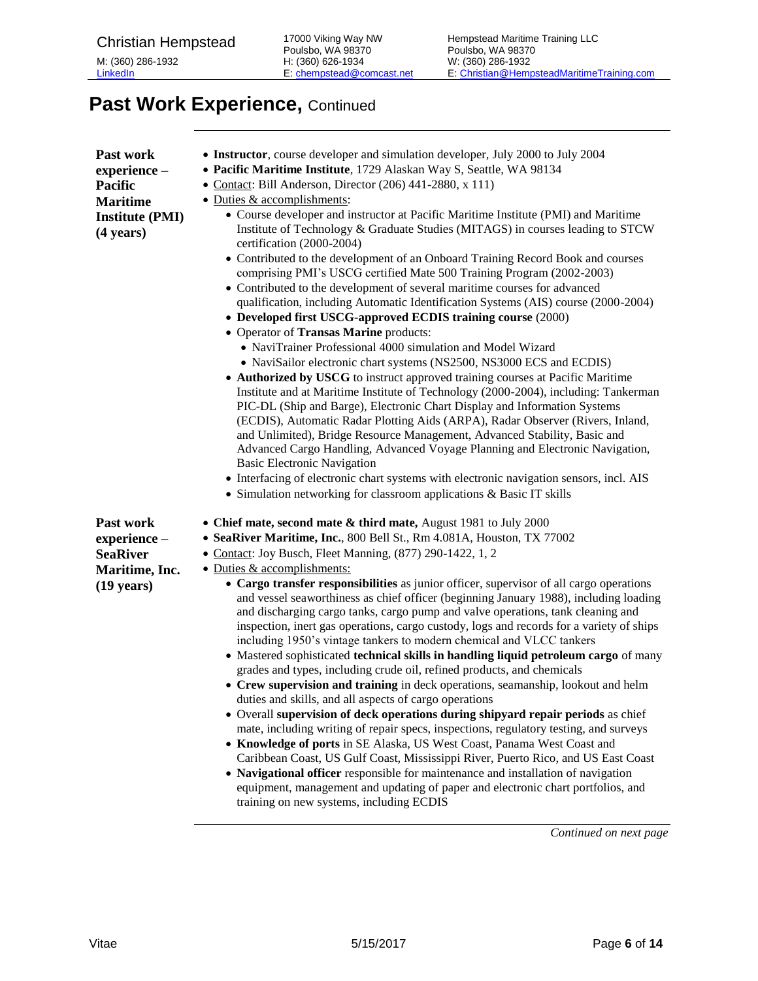# Past Work Experience, Continued

| Past work<br>experience-<br><b>Pacific</b><br><b>Maritime</b><br><b>Institute (PMI)</b><br>$(4 \text{ years})$ | • Instructor, course developer and simulation developer, July 2000 to July 2004<br>• Pacific Maritime Institute, 1729 Alaskan Way S, Seattle, WA 98134<br>• Contact: Bill Anderson, Director (206) 441-2880, x 111)<br>• Duties & accomplishments:<br>• Course developer and instructor at Pacific Maritime Institute (PMI) and Maritime<br>Institute of Technology & Graduate Studies (MITAGS) in courses leading to STCW<br>certification (2000-2004)<br>• Contributed to the development of an Onboard Training Record Book and courses<br>comprising PMI's USCG certified Mate 500 Training Program (2002-2003)<br>• Contributed to the development of several maritime courses for advanced<br>qualification, including Automatic Identification Systems (AIS) course (2000-2004)<br>• Developed first USCG-approved ECDIS training course (2000)<br>• Operator of Transas Marine products:<br>• NaviTrainer Professional 4000 simulation and Model Wizard<br>• NaviSailor electronic chart systems (NS2500, NS3000 ECS and ECDIS)<br>• Authorized by USCG to instruct approved training courses at Pacific Maritime<br>Institute and at Maritime Institute of Technology (2000-2004), including: Tankerman<br>PIC-DL (Ship and Barge), Electronic Chart Display and Information Systems<br>(ECDIS), Automatic Radar Plotting Aids (ARPA), Radar Observer (Rivers, Inland,<br>and Unlimited), Bridge Resource Management, Advanced Stability, Basic and<br>Advanced Cargo Handling, Advanced Voyage Planning and Electronic Navigation,<br><b>Basic Electronic Navigation</b><br>• Interfacing of electronic chart systems with electronic navigation sensors, incl. AIS<br>• Simulation networking for classroom applications & Basic IT skills |
|----------------------------------------------------------------------------------------------------------------|-------------------------------------------------------------------------------------------------------------------------------------------------------------------------------------------------------------------------------------------------------------------------------------------------------------------------------------------------------------------------------------------------------------------------------------------------------------------------------------------------------------------------------------------------------------------------------------------------------------------------------------------------------------------------------------------------------------------------------------------------------------------------------------------------------------------------------------------------------------------------------------------------------------------------------------------------------------------------------------------------------------------------------------------------------------------------------------------------------------------------------------------------------------------------------------------------------------------------------------------------------------------------------------------------------------------------------------------------------------------------------------------------------------------------------------------------------------------------------------------------------------------------------------------------------------------------------------------------------------------------------------------------------------------------------------------------------------------------------------------------------|
| Past work<br>experience -<br><b>SeaRiver</b><br>Maritime, Inc.<br>$(19 \text{ years})$                         | • Chief mate, second mate & third mate, August 1981 to July 2000<br>• SeaRiver Maritime, Inc., 800 Bell St., Rm 4.081A, Houston, TX 77002<br>• Contact: Joy Busch, Fleet Manning, (877) 290-1422, 1, 2<br>• Duties & accomplishments:<br>• Cargo transfer responsibilities as junior officer, supervisor of all cargo operations<br>and vessel seaworthiness as chief officer (beginning January 1988), including loading<br>and discharging cargo tanks, cargo pump and valve operations, tank cleaning and<br>inspection, inert gas operations, cargo custody, logs and records for a variety of ships<br>including 1950's vintage tankers to modern chemical and VLCC tankers<br>• Mastered sophisticated technical skills in handling liquid petroleum cargo of many<br>grades and types, including crude oil, refined products, and chemicals<br>• Crew supervision and training in deck operations, seamanship, lookout and helm<br>duties and skills, and all aspects of cargo operations<br>• Overall supervision of deck operations during shipyard repair periods as chief<br>mate, including writing of repair specs, inspections, regulatory testing, and surveys<br>• Knowledge of ports in SE Alaska, US West Coast, Panama West Coast and<br>Caribbean Coast, US Gulf Coast, Mississippi River, Puerto Rico, and US East Coast<br>• Navigational officer responsible for maintenance and installation of navigation<br>equipment, management and updating of paper and electronic chart portfolios, and<br>training on new systems, including ECDIS                                                                                                                                                                                    |
|                                                                                                                | Continued on next page                                                                                                                                                                                                                                                                                                                                                                                                                                                                                                                                                                                                                                                                                                                                                                                                                                                                                                                                                                                                                                                                                                                                                                                                                                                                                                                                                                                                                                                                                                                                                                                                                                                                                                                                |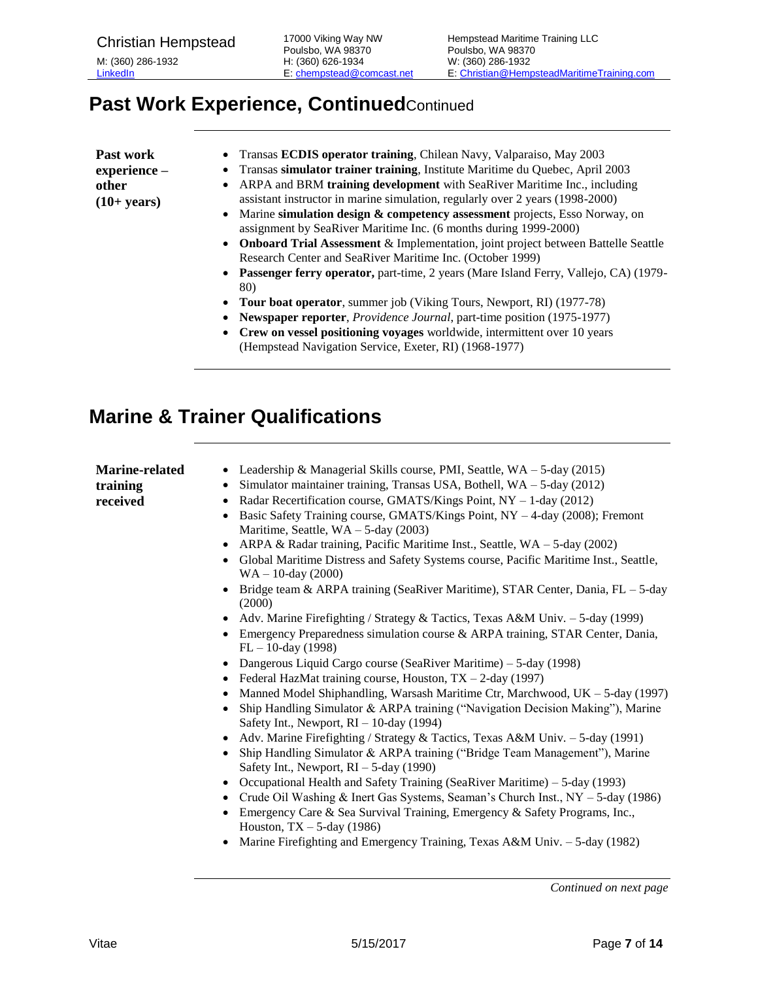# **Past Work Experience, Continued**Continued

| Past work     | • Transas <b>ECDIS</b> operator training, Chilean Navy, Valparaiso, May 2003           |
|---------------|----------------------------------------------------------------------------------------|
| experience -  | • Transas simulator trainer training, Institute Maritime du Quebec, April 2003         |
| other         | • ARPA and BRM training development with SeaRiver Maritime Inc., including             |
| $(10+ years)$ | assistant instructor in marine simulation, regularly over 2 years (1998-2000)          |
|               | • Marine simulation design & competency assessment projects, Esso Norway, on           |
|               | assignment by SeaRiver Maritime Inc. (6 months during 1999-2000)                       |
|               | • Onboard Trial Assessment & Implementation, joint project between Battelle Seattle    |
|               | Research Center and SeaRiver Maritime Inc. (October 1999)                              |
|               | • Passenger ferry operator, part-time, 2 years (Mare Island Ferry, Vallejo, CA) (1979- |
|               | 80)                                                                                    |

- **Tour boat operator**, summer job (Viking Tours, Newport, RI) (1977-78)
- **Newspaper reporter**, *Providence Journal*, part-time position (1975-1977)
- **Crew on vessel positioning voyages** worldwide, intermittent over 10 years (Hempstead Navigation Service, Exeter, RI) (1968-1977)

#### <span id="page-6-0"></span>**Marine & Trainer Qualifications**

| <b>Marine-related</b><br>training<br>received | Leadership & Managerial Skills course, PMI, Seattle, $WA - 5$ -day (2015)<br>$\bullet$<br>Simulator maintainer training, Transas USA, Bothell, $WA - 5$ -day (2012)<br>$\bullet$<br>Radar Recertification course, GMATS/Kings Point, NY - 1-day (2012)<br>٠<br>Basic Safety Training course, GMATS/Kings Point, NY - 4-day (2008); Fremont<br>$\bullet$<br>Maritime, Seattle, $WA - 5$ -day (2003)<br>ARPA & Radar training, Pacific Maritime Inst., Seattle, $WA - 5$ -day (2002)<br>$\bullet$<br>Global Maritime Distress and Safety Systems course, Pacific Maritime Inst., Seattle,<br>$\bullet$<br>$WA - 10$ -day (2000)<br>Bridge team & ARPA training (SeaRiver Maritime), STAR Center, Dania, FL – 5-day<br>$\bullet$<br>(2000)<br>Adv. Marine Firefighting / Strategy & Tactics, Texas A&M Univ. - 5-day (1999)<br>٠<br>Emergency Preparedness simulation course & ARPA training, STAR Center, Dania,<br>$\bullet$                                                                                                                    |
|-----------------------------------------------|------------------------------------------------------------------------------------------------------------------------------------------------------------------------------------------------------------------------------------------------------------------------------------------------------------------------------------------------------------------------------------------------------------------------------------------------------------------------------------------------------------------------------------------------------------------------------------------------------------------------------------------------------------------------------------------------------------------------------------------------------------------------------------------------------------------------------------------------------------------------------------------------------------------------------------------------------------------------------------------------------------------------------------------------|
|                                               | $FL - 10$ -day (1998)<br>Dangerous Liquid Cargo course (SeaRiver Maritime) – 5-day (1998)<br>٠<br>Federal HazMat training course, Houston, TX - 2-day (1997)<br>$\bullet$<br>Manned Model Shiphandling, Warsash Maritime Ctr, Marchwood, UK - 5-day (1997)<br>٠<br>Ship Handling Simulator & ARPA training ("Navigation Decision Making"), Marine<br>$\bullet$<br>Safety Int., Newport, $RI - 10$ -day (1994)<br>Adv. Marine Firefighting / Strategy & Tactics, Texas A&M Univ. - 5-day (1991)<br>$\bullet$<br>Ship Handling Simulator & ARPA training ("Bridge Team Management"), Marine<br>$\bullet$<br>Safety Int., Newport, $RI - 5$ -day (1990)<br>Occupational Health and Safety Training (SeaRiver Maritime) – 5-day (1993)<br>٠<br>Crude Oil Washing & Inert Gas Systems, Seaman's Church Inst., NY - 5-day (1986)<br>٠<br>Emergency Care & Sea Survival Training, Emergency & Safety Programs, Inc.,<br>٠<br>Houston, $TX - 5$ -day (1986)<br>Marine Firefighting and Emergency Training, Texas A&M Univ. - 5-day (1982)<br>$\bullet$ |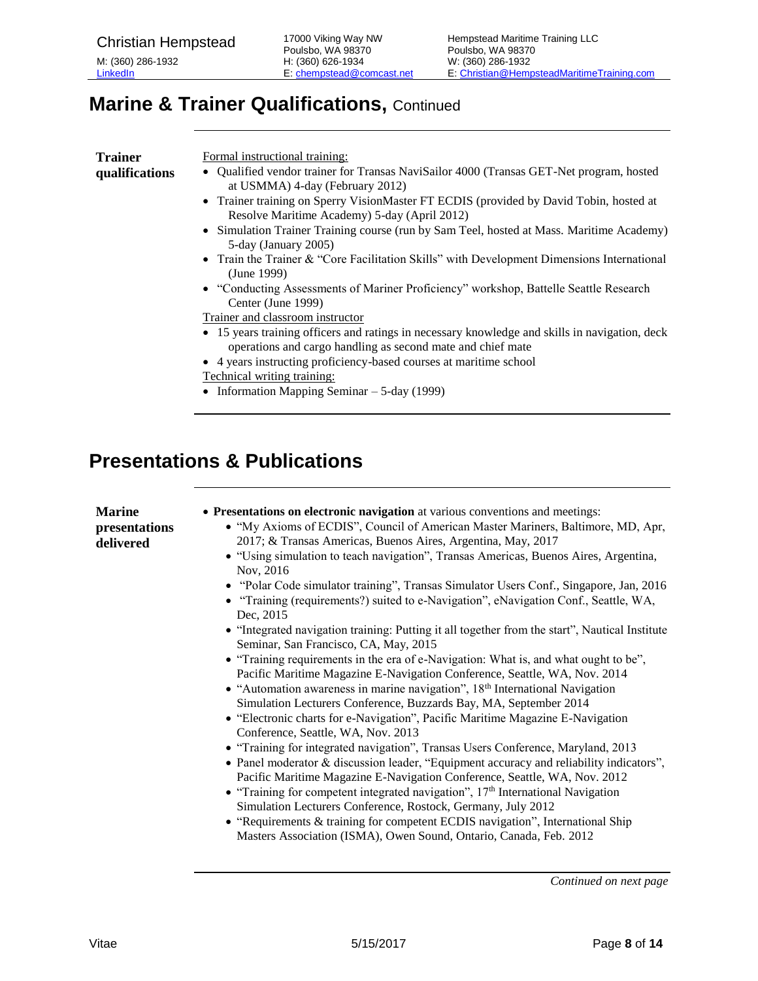## **Marine & Trainer Qualifications, Continued**

| <b>Trainer</b> | Formal instructional training:                                                                                                                                |
|----------------|---------------------------------------------------------------------------------------------------------------------------------------------------------------|
| qualifications | • Qualified vendor trainer for Transas NaviSailor 4000 (Transas GET-Net program, hosted<br>at USMMA) 4-day (February 2012)                                    |
|                | • Trainer training on Sperry VisionMaster FT ECDIS (provided by David Tobin, hosted at<br>Resolve Maritime Academy) 5-day (April 2012)                        |
|                | • Simulation Trainer Training course (run by Sam Teel, hosted at Mass. Maritime Academy)<br>5-day (January 2005)                                              |
|                | • Train the Trainer & "Core Facilitation Skills" with Development Dimensions International<br>(June 1999)                                                     |
|                | • "Conducting Assessments of Mariner Proficiency" workshop, Battelle Seattle Research<br>Center (June 1999)                                                   |
|                | Trainer and classroom instructor                                                                                                                              |
|                | • 15 years training officers and ratings in necessary knowledge and skills in navigation, deck<br>operations and cargo handling as second mate and chief mate |
|                | • 4 years instructing proficiency-based courses at maritime school                                                                                            |
|                | <b>Technical writing training:</b>                                                                                                                            |
|                | • Information Mapping Seminar $-5$ -day (1999)                                                                                                                |
|                |                                                                                                                                                               |
|                |                                                                                                                                                               |
|                |                                                                                                                                                               |

## <span id="page-7-0"></span>**Presentations & Publications**

| <b>Marine</b><br>presentations<br>delivered | • Presentations on electronic navigation at various conventions and meetings:<br>• "My Axioms of ECDIS", Council of American Master Mariners, Baltimore, MD, Apr,<br>2017; & Transas Americas, Buenos Aires, Argentina, May, 2017<br>• "Using simulation to teach navigation", Transas Americas, Buenos Aires, Argentina,<br>Nov, 2016<br>• "Polar Code simulator training", Transas Simulator Users Conf., Singapore, Jan, 2016<br>• "Training (requirements?) suited to e-Navigation", eNavigation Conf., Seattle, WA,<br>Dec, 2015<br>• "Integrated navigation training: Putting it all together from the start", Nautical Institute<br>Seminar, San Francisco, CA, May, 2015<br>• "Training requirements in the era of e-Navigation: What is, and what ought to be",<br>Pacific Maritime Magazine E-Navigation Conference, Seattle, WA, Nov. 2014<br>• "Automation awareness in marine navigation", $18th$ International Navigation<br>Simulation Lecturers Conference, Buzzards Bay, MA, September 2014<br>• "Electronic charts for e-Navigation", Pacific Maritime Magazine E-Navigation<br>Conference, Seattle, WA, Nov. 2013<br>• "Training for integrated navigation", Transas Users Conference, Maryland, 2013<br>• Panel moderator $\&$ discussion leader, "Equipment accuracy and reliability indicators",<br>Pacific Maritime Magazine E-Navigation Conference, Seattle, WA, Nov. 2012<br>• "Training for competent integrated navigation", $17th$ International Navigation<br>Simulation Lecturers Conference, Rostock, Germany, July 2012<br>• "Requirements & training for competent ECDIS navigation", International Ship |
|---------------------------------------------|--------------------------------------------------------------------------------------------------------------------------------------------------------------------------------------------------------------------------------------------------------------------------------------------------------------------------------------------------------------------------------------------------------------------------------------------------------------------------------------------------------------------------------------------------------------------------------------------------------------------------------------------------------------------------------------------------------------------------------------------------------------------------------------------------------------------------------------------------------------------------------------------------------------------------------------------------------------------------------------------------------------------------------------------------------------------------------------------------------------------------------------------------------------------------------------------------------------------------------------------------------------------------------------------------------------------------------------------------------------------------------------------------------------------------------------------------------------------------------------------------------------------------------------------------------------------------------------------------------------------------------------------|
|                                             | Masters Association (ISMA), Owen Sound, Ontario, Canada, Feb. 2012                                                                                                                                                                                                                                                                                                                                                                                                                                                                                                                                                                                                                                                                                                                                                                                                                                                                                                                                                                                                                                                                                                                                                                                                                                                                                                                                                                                                                                                                                                                                                                         |
|                                             |                                                                                                                                                                                                                                                                                                                                                                                                                                                                                                                                                                                                                                                                                                                                                                                                                                                                                                                                                                                                                                                                                                                                                                                                                                                                                                                                                                                                                                                                                                                                                                                                                                            |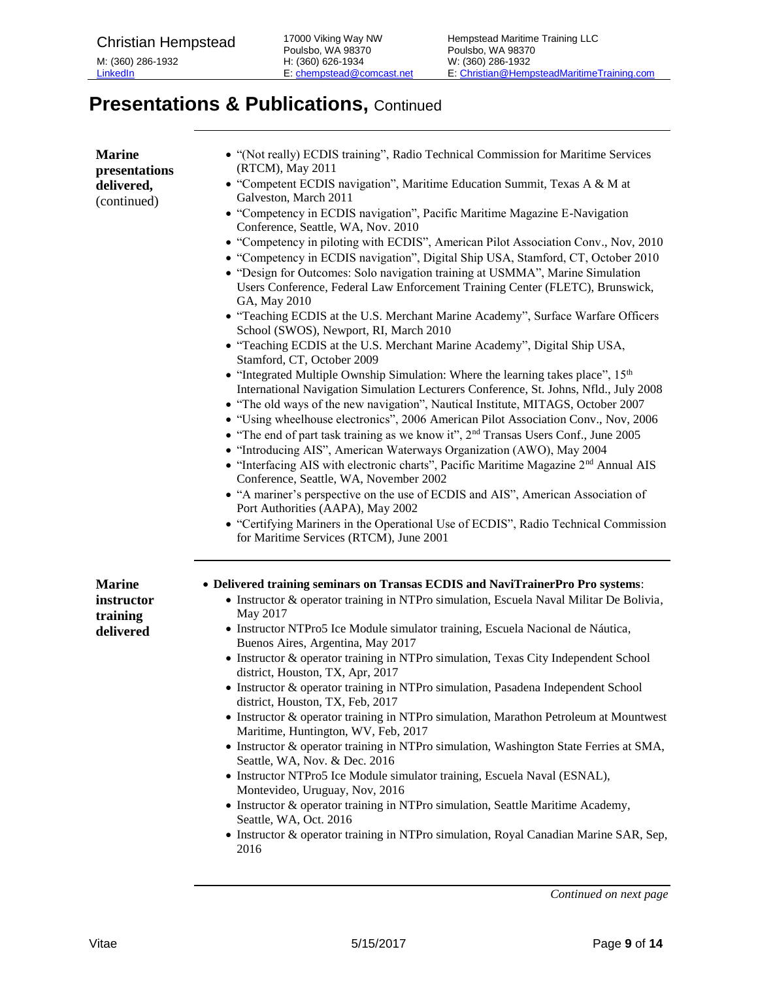# **Presentations & Publications, Continued**

| <b>Marine</b><br>presentations<br>delivered,<br>(continued) | • "(Not really) ECDIS training", Radio Technical Commission for Maritime Services<br>(RTCM), May 2011<br>• "Competent ECDIS navigation", Maritime Education Summit, Texas A & M at<br>Galveston, March 2011<br>• "Competency in ECDIS navigation", Pacific Maritime Magazine E-Navigation<br>Conference, Seattle, WA, Nov. 2010<br>• "Competency in piloting with ECDIS", American Pilot Association Conv., Nov, 2010<br>• "Competency in ECDIS navigation", Digital Ship USA, Stamford, CT, October 2010<br>• "Design for Outcomes: Solo navigation training at USMMA", Marine Simulation<br>Users Conference, Federal Law Enforcement Training Center (FLETC), Brunswick,<br>GA, May 2010<br>• "Teaching ECDIS at the U.S. Merchant Marine Academy", Surface Warfare Officers<br>School (SWOS), Newport, RI, March 2010<br>• "Teaching ECDIS at the U.S. Merchant Marine Academy", Digital Ship USA,<br>Stamford, CT, October 2009<br>• "Integrated Multiple Ownship Simulation: Where the learning takes place", 15th<br>International Navigation Simulation Lecturers Conference, St. Johns, Nfld., July 2008<br>• "The old ways of the new navigation", Nautical Institute, MITAGS, October 2007<br>· "Using wheelhouse electronics", 2006 American Pilot Association Conv., Nov, 2006<br>• "The end of part task training as we know it", 2 <sup>nd</sup> Transas Users Conf., June 2005<br>• "Introducing AIS", American Waterways Organization (AWO), May 2004<br>• "Interfacing AIS with electronic charts", Pacific Maritime Magazine 2 <sup>nd</sup> Annual AIS<br>Conference, Seattle, WA, November 2002<br>• "A mariner's perspective on the use of ECDIS and AIS", American Association of<br>Port Authorities (AAPA), May 2002<br>• "Certifying Mariners in the Operational Use of ECDIS", Radio Technical Commission<br>for Maritime Services (RTCM), June 2001 |
|-------------------------------------------------------------|---------------------------------------------------------------------------------------------------------------------------------------------------------------------------------------------------------------------------------------------------------------------------------------------------------------------------------------------------------------------------------------------------------------------------------------------------------------------------------------------------------------------------------------------------------------------------------------------------------------------------------------------------------------------------------------------------------------------------------------------------------------------------------------------------------------------------------------------------------------------------------------------------------------------------------------------------------------------------------------------------------------------------------------------------------------------------------------------------------------------------------------------------------------------------------------------------------------------------------------------------------------------------------------------------------------------------------------------------------------------------------------------------------------------------------------------------------------------------------------------------------------------------------------------------------------------------------------------------------------------------------------------------------------------------------------------------------------------------------------------------------------------------------------------------------------------------------------------------------------------------------|
| <b>Marine</b><br>instructor<br>training<br>delivered        | • Delivered training seminars on Transas ECDIS and NaviTrainerPro Pro systems:<br>• Instructor & operator training in NTPro simulation, Escuela Naval Militar De Bolivia,<br>May 2017<br>· Instructor NTPro5 Ice Module simulator training, Escuela Nacional de Náutica,<br>Buenos Aires, Argentina, May 2017<br>• Instructor & operator training in NTPro simulation, Texas City Independent School<br>district, Houston, TX, Apr, 2017<br>• Instructor & operator training in NTPro simulation, Pasadena Independent School<br>district, Houston, TX, Feb, 2017<br>• Instructor & operator training in NTPro simulation, Marathon Petroleum at Mountwest<br>Maritime, Huntington, WV, Feb, 2017<br>• Instructor & operator training in NTPro simulation, Washington State Ferries at SMA,<br>Seattle, WA, Nov. & Dec. 2016<br>• Instructor NTPro5 Ice Module simulator training, Escuela Naval (ESNAL),<br>Montevideo, Uruguay, Nov, 2016<br>• Instructor & operator training in NTPro simulation, Seattle Maritime Academy,<br>Seattle, WA, Oct. 2016<br>• Instructor & operator training in NTPro simulation, Royal Canadian Marine SAR, Sep,<br>2016                                                                                                                                                                                                                                                                                                                                                                                                                                                                                                                                                                                                                                                                                                                       |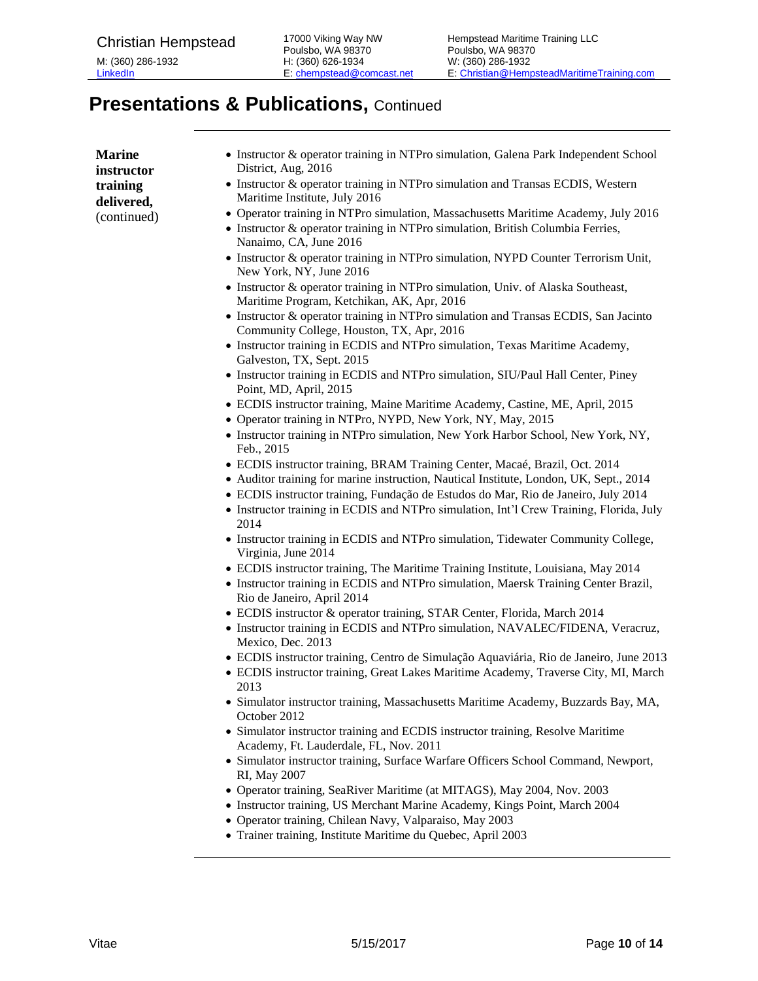## **Presentations & Publications, Continued**

| <b>Marine</b><br>instructor | • Instructor & operator training in NTPro simulation, Galena Park Independent School<br>District, Aug, 2016                                                                                                                                                                                                                                            |
|-----------------------------|--------------------------------------------------------------------------------------------------------------------------------------------------------------------------------------------------------------------------------------------------------------------------------------------------------------------------------------------------------|
| training<br>delivered,      | • Instructor & operator training in NTPro simulation and Transas ECDIS, Western<br>Maritime Institute, July 2016                                                                                                                                                                                                                                       |
| (continued)                 | • Operator training in NTPro simulation, Massachusetts Maritime Academy, July 2016<br>• Instructor & operator training in NTPro simulation, British Columbia Ferries,<br>Nanaimo, CA, June 2016                                                                                                                                                        |
|                             | • Instructor & operator training in NTPro simulation, NYPD Counter Terrorism Unit,<br>New York, NY, June 2016                                                                                                                                                                                                                                          |
|                             | • Instructor & operator training in NTPro simulation, Univ. of Alaska Southeast,<br>Maritime Program, Ketchikan, AK, Apr, 2016                                                                                                                                                                                                                         |
|                             | • Instructor & operator training in NTPro simulation and Transas ECDIS, San Jacinto<br>Community College, Houston, TX, Apr, 2016                                                                                                                                                                                                                       |
|                             | • Instructor training in ECDIS and NTPro simulation, Texas Maritime Academy,<br>Galveston, TX, Sept. 2015                                                                                                                                                                                                                                              |
|                             | • Instructor training in ECDIS and NTPro simulation, SIU/Paul Hall Center, Piney<br>Point, MD, April, 2015                                                                                                                                                                                                                                             |
|                             | • ECDIS instructor training, Maine Maritime Academy, Castine, ME, April, 2015<br>· Operator training in NTPro, NYPD, New York, NY, May, 2015                                                                                                                                                                                                           |
|                             | • Instructor training in NTPro simulation, New York Harbor School, New York, NY,<br>Feb., 2015                                                                                                                                                                                                                                                         |
|                             | • ECDIS instructor training, BRAM Training Center, Macaé, Brazil, Oct. 2014<br>• Auditor training for marine instruction, Nautical Institute, London, UK, Sept., 2014<br>· ECDIS instructor training, Fundação de Estudos do Mar, Rio de Janeiro, July 2014<br>• Instructor training in ECDIS and NTPro simulation, Int'l Crew Training, Florida, July |
|                             | 2014<br>• Instructor training in ECDIS and NTPro simulation, Tidewater Community College,                                                                                                                                                                                                                                                              |
|                             | Virginia, June 2014<br>• ECDIS instructor training, The Maritime Training Institute, Louisiana, May 2014                                                                                                                                                                                                                                               |
|                             | • Instructor training in ECDIS and NTPro simulation, Maersk Training Center Brazil,<br>Rio de Janeiro, April 2014                                                                                                                                                                                                                                      |
|                             | • ECDIS instructor & operator training, STAR Center, Florida, March 2014<br>• Instructor training in ECDIS and NTPro simulation, NAVALEC/FIDENA, Veracruz,<br>Mexico, Dec. 2013                                                                                                                                                                        |
|                             | · ECDIS instructor training, Centro de Simulação Aquaviária, Rio de Janeiro, June 2013<br>• ECDIS instructor training, Great Lakes Maritime Academy, Traverse City, MI, March<br>2013                                                                                                                                                                  |
|                             | · Simulator instructor training, Massachusetts Maritime Academy, Buzzards Bay, MA,<br>October 2012                                                                                                                                                                                                                                                     |
|                             | • Simulator instructor training and ECDIS instructor training, Resolve Maritime<br>Academy, Ft. Lauderdale, FL, Nov. 2011                                                                                                                                                                                                                              |
|                             | • Simulator instructor training, Surface Warfare Officers School Command, Newport,<br>RI, May 2007                                                                                                                                                                                                                                                     |
|                             | • Operator training, SeaRiver Maritime (at MITAGS), May 2004, Nov. 2003<br>• Instructor training, US Merchant Marine Academy, Kings Point, March 2004<br>· Operator training, Chilean Navy, Valparaiso, May 2003                                                                                                                                       |
|                             | • Trainer training, Institute Maritime du Quebec, April 2003                                                                                                                                                                                                                                                                                           |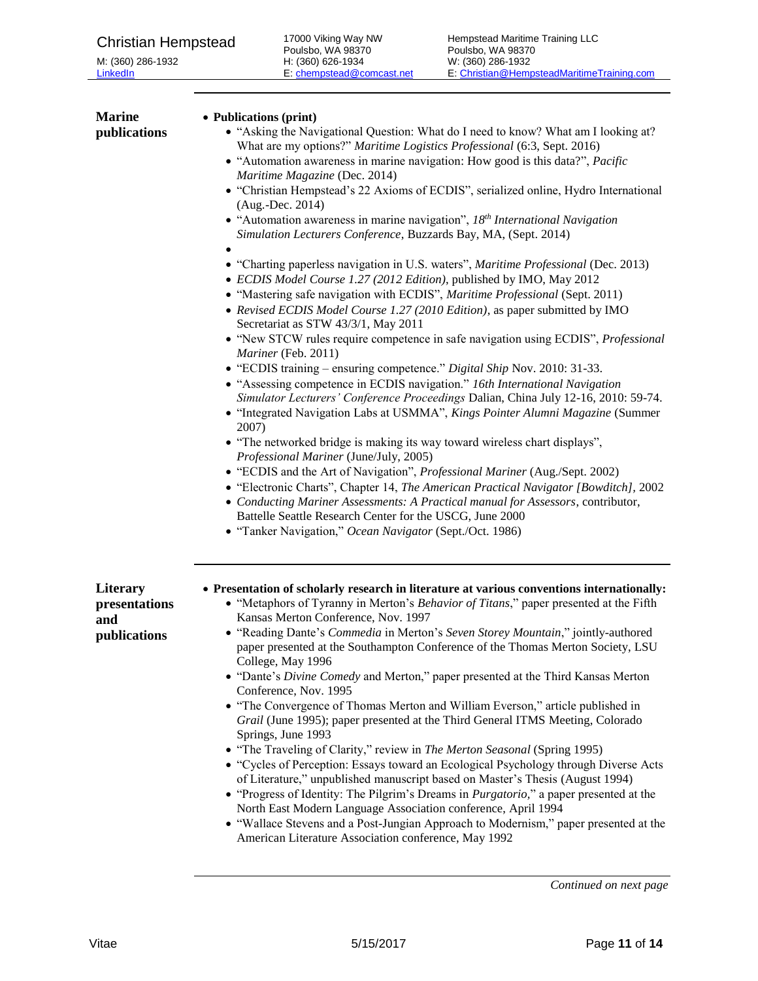M: (360) 286-1932 **[LinkedIn](http://www.linkedin.com/in/christianhempstead)** 

| <b>Marine</b><br>publications                    | • Publications (print)<br>• "Asking the Navigational Question: What do I need to know? What am I looking at?<br>What are my options?" Maritime Logistics Professional (6:3, Sept. 2016)<br>• "Automation awareness in marine navigation: How good is this data?", Pacific<br>Maritime Magazine (Dec. 2014)<br>• "Christian Hempstead's 22 Axioms of ECDIS", serialized online, Hydro International<br>(Aug.-Dec. 2014)<br>• "Automation awareness in marine navigation", $18th International\,$<br>Simulation Lecturers Conference, Buzzards Bay, MA, (Sept. 2014)<br>• "Charting paperless navigation in U.S. waters", Maritime Professional (Dec. 2013)<br>• ECDIS Model Course 1.27 (2012 Edition), published by IMO, May 2012<br>• "Mastering safe navigation with ECDIS", Maritime Professional (Sept. 2011)<br>• Revised ECDIS Model Course 1.27 (2010 Edition), as paper submitted by IMO<br>Secretariat as STW 43/3/1, May 2011<br>• "New STCW rules require competence in safe navigation using ECDIS", Professional<br>Mariner (Feb. 2011)<br>• "ECDIS training – ensuring competence." Digital Ship Nov. 2010: 31-33.<br>• "Assessing competence in ECDIS navigation." 16th International Navigation<br>Simulator Lecturers' Conference Proceedings Dalian, China July 12-16, 2010: 59-74.<br>• "Integrated Navigation Labs at USMMA", Kings Pointer Alumni Magazine (Summer |
|--------------------------------------------------|-----------------------------------------------------------------------------------------------------------------------------------------------------------------------------------------------------------------------------------------------------------------------------------------------------------------------------------------------------------------------------------------------------------------------------------------------------------------------------------------------------------------------------------------------------------------------------------------------------------------------------------------------------------------------------------------------------------------------------------------------------------------------------------------------------------------------------------------------------------------------------------------------------------------------------------------------------------------------------------------------------------------------------------------------------------------------------------------------------------------------------------------------------------------------------------------------------------------------------------------------------------------------------------------------------------------------------------------------------------------------------------------|
|                                                  | 2007)<br>• "The networked bridge is making its way toward wireless chart displays",<br>Professional Mariner (June/July, 2005)<br>• "ECDIS and the Art of Navigation", Professional Mariner (Aug./Sept. 2002)<br>• "Electronic Charts", Chapter 14, The American Practical Navigator [Bowditch], 2002<br>• Conducting Mariner Assessments: A Practical manual for Assessors, contributor,<br>Battelle Seattle Research Center for the USCG, June 2000<br>• "Tanker Navigation," Ocean Navigator (Sept./Oct. 1986)                                                                                                                                                                                                                                                                                                                                                                                                                                                                                                                                                                                                                                                                                                                                                                                                                                                                        |
| Literary<br>presentations<br>and<br>publications | • Presentation of scholarly research in literature at various conventions internationally:<br>• "Metaphors of Tyranny in Merton's Behavior of Titans," paper presented at the Fifth<br>Kansas Merton Conference, Nov. 1997<br>• "Reading Dante's Commedia in Merton's Seven Storey Mountain," jointly-authored<br>paper presented at the Southampton Conference of the Thomas Merton Society, LSU<br>College, May 1996<br>• "Dante's Divine Comedy and Merton," paper presented at the Third Kansas Merton<br>Conference, Nov. 1995<br>• "The Convergence of Thomas Merton and William Everson," article published in<br>Grail (June 1995); paper presented at the Third General ITMS Meeting, Colorado<br>Springs, June 1993<br>• "The Traveling of Clarity," review in The Merton Seasonal (Spring 1995)<br>• "Cycles of Perception: Essays toward an Ecological Psychology through Diverse Acts<br>of Literature," unpublished manuscript based on Master's Thesis (August 1994)<br>• "Progress of Identity: The Pilgrim's Dreams in <i>Purgatorio</i> ," a paper presented at the<br>North East Modern Language Association conference, April 1994<br>• "Wallace Stevens and a Post-Jungian Approach to Modernism," paper presented at the<br>American Literature Association conference, May 1992                                                                                  |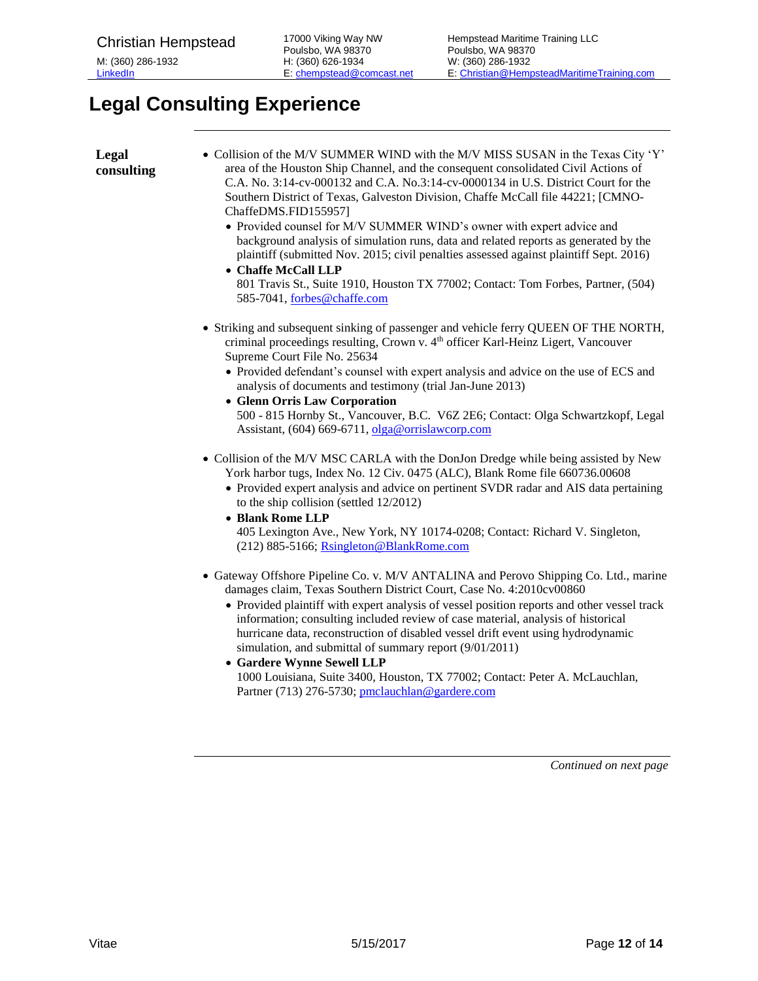## <span id="page-11-0"></span>**Legal Consulting Experience**

| Legal<br>consulting | • Collision of the M/V SUMMER WIND with the M/V MISS SUSAN in the Texas City 'Y'<br>area of the Houston Ship Channel, and the consequent consolidated Civil Actions of<br>C.A. No. 3:14-cv-000132 and C.A. No.3:14-cv-0000134 in U.S. District Court for the<br>Southern District of Texas, Galveston Division, Chaffe McCall file 44221; [CMNO-<br>ChaffeDMS.FID155957]<br>• Provided counsel for M/V SUMMER WIND's owner with expert advice and<br>background analysis of simulation runs, data and related reports as generated by the<br>plaintiff (submitted Nov. 2015; civil penalties assessed against plaintiff Sept. 2016)<br>• Chaffe McCall LLP<br>801 Travis St., Suite 1910, Houston TX 77002; Contact: Tom Forbes, Partner, (504)<br>585-7041, forbes@chaffe.com |
|---------------------|--------------------------------------------------------------------------------------------------------------------------------------------------------------------------------------------------------------------------------------------------------------------------------------------------------------------------------------------------------------------------------------------------------------------------------------------------------------------------------------------------------------------------------------------------------------------------------------------------------------------------------------------------------------------------------------------------------------------------------------------------------------------------------|
|                     | • Striking and subsequent sinking of passenger and vehicle ferry QUEEN OF THE NORTH,<br>criminal proceedings resulting, Crown v. 4th officer Karl-Heinz Ligert, Vancouver<br>Supreme Court File No. 25634<br>• Provided defendant's counsel with expert analysis and advice on the use of ECS and<br>analysis of documents and testimony (trial Jan-June 2013)<br>• Glenn Orris Law Corporation<br>500 - 815 Hornby St., Vancouver, B.C. V6Z 2E6; Contact: Olga Schwartzkopf, Legal<br>Assistant, (604) 669-6711, olga@orrislaw.orp.com                                                                                                                                                                                                                                        |
|                     | • Collision of the M/V MSC CARLA with the DonJon Dredge while being assisted by New<br>York harbor tugs, Index No. 12 Civ. 0475 (ALC), Blank Rome file 660736.00608<br>• Provided expert analysis and advice on pertinent SVDR radar and AIS data pertaining<br>to the ship collision (settled 12/2012)<br>• Blank Rome LLP<br>405 Lexington Ave., New York, NY 10174-0208; Contact: Richard V. Singleton,<br>(212) 885-5166; Rsingleton@BlankRome.com                                                                                                                                                                                                                                                                                                                         |
|                     | • Gateway Offshore Pipeline Co. v. M/V ANTALINA and Perovo Shipping Co. Ltd., marine<br>damages claim, Texas Southern District Court, Case No. 4:2010cv00860<br>• Provided plaintiff with expert analysis of vessel position reports and other vessel track<br>information; consulting included review of case material, analysis of historical<br>hurricane data, reconstruction of disabled vessel drift event using hydrodynamic<br>simulation, and submittal of summary report (9/01/2011)<br>• Gardere Wynne Sewell LLP<br>1000 Louisiana, Suite 3400, Houston, TX 77002; Contact: Peter A. McLauchlan,<br>Partner (713) 276-5730; pmclauchlan@gardere.com                                                                                                                |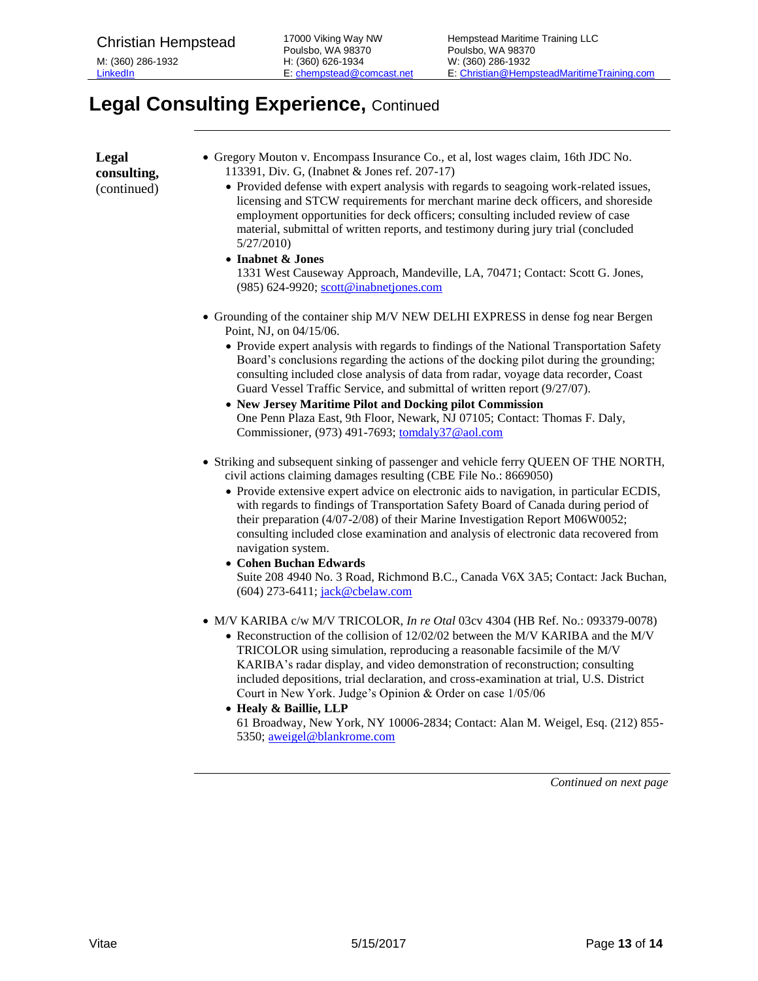## **Legal Consulting Experience,** Continued

| Legal<br>consulting,<br>(continued) | • Gregory Mouton v. Encompass Insurance Co., et al, lost wages claim, 16th JDC No.<br>113391, Div. G, (Inabnet & Jones ref. 207-17)<br>• Provided defense with expert analysis with regards to seagoing work-related issues,<br>licensing and STCW requirements for merchant marine deck officers, and shoreside<br>employment opportunities for deck officers; consulting included review of case<br>material, submittal of written reports, and testimony during jury trial (concluded<br>5/27/2010<br>• Inabnet & Jones<br>1331 West Causeway Approach, Mandeville, LA, 70471; Contact: Scott G. Jones,<br>(985) 624-9920; scott@inabnetjones.com                                     |
|-------------------------------------|------------------------------------------------------------------------------------------------------------------------------------------------------------------------------------------------------------------------------------------------------------------------------------------------------------------------------------------------------------------------------------------------------------------------------------------------------------------------------------------------------------------------------------------------------------------------------------------------------------------------------------------------------------------------------------------|
|                                     | • Grounding of the container ship M/V NEW DELHI EXPRESS in dense fog near Bergen<br>Point, NJ, on 04/15/06.<br>• Provide expert analysis with regards to findings of the National Transportation Safety<br>Board's conclusions regarding the actions of the docking pilot during the grounding;<br>consulting included close analysis of data from radar, voyage data recorder, Coast<br>Guard Vessel Traffic Service, and submittal of written report (9/27/07).<br>• New Jersey Maritime Pilot and Docking pilot Commission<br>One Penn Plaza East, 9th Floor, Newark, NJ 07105; Contact: Thomas F. Daly,<br>Commissioner, (973) 491-7693; tomdaly37@aol.com                           |
|                                     | • Striking and subsequent sinking of passenger and vehicle ferry QUEEN OF THE NORTH,<br>civil actions claiming damages resulting (CBE File No.: 8669050)<br>• Provide extensive expert advice on electronic aids to navigation, in particular ECDIS,<br>with regards to findings of Transportation Safety Board of Canada during period of<br>their preparation (4/07-2/08) of their Marine Investigation Report M06W0052;<br>consulting included close examination and analysis of electronic data recovered from<br>navigation system.<br>• Cohen Buchan Edwards<br>Suite 208 4940 No. 3 Road, Richmond B.C., Canada V6X 3A5; Contact: Jack Buchan,<br>(604) 273-6411; jack@cbelaw.com |
|                                     | • M/V KARIBA c/w M/V TRICOLOR, In re Otal 03cv 4304 (HB Ref. No.: 093379-0078)<br>• Reconstruction of the collision of 12/02/02 between the M/V KARIBA and the M/V<br>TRICOLOR using simulation, reproducing a reasonable facsimile of the M/V<br>KARIBA's radar display, and video demonstration of reconstruction; consulting<br>included depositions, trial declaration, and cross-examination at trial, U.S. District<br>Court in New York. Judge's Opinion & Order on case 1/05/06<br>• Healy & Baillie, LLP<br>61 Broadway, New York, NY 10006-2834; Contact: Alan M. Weigel, Esq. (212) 855-<br>5350; aweigel@blankrome.com                                                       |